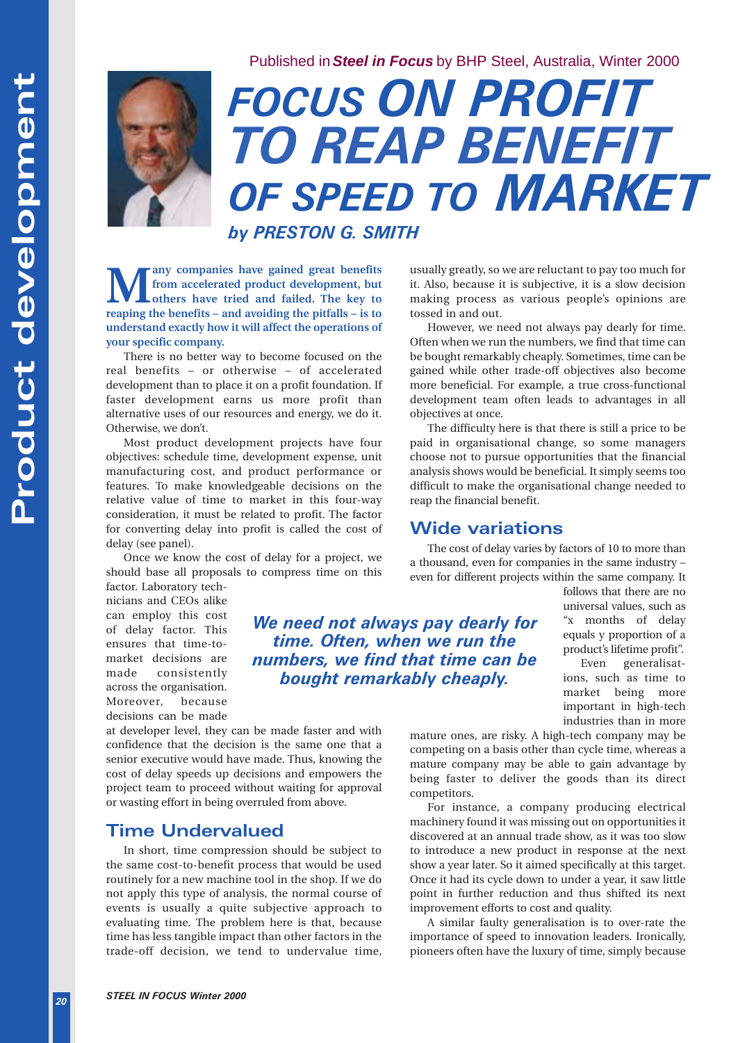Published in**Steel in Focus** by BHP Steel, Australia, Winter 2000



# *FOCUS ON PROFIT TO REAP BENEFIT OF SPEED TO MARKET*

*by PRESTON G. SMITH*

**from accelerated product development, but others have tried and failed. The key to reaping the benefits – and avoiding the pitfalls – is to understand exactly how it will affect the operations of your specific company.**

There is no better way to become focused on the real benefits – or otherwise – of accelerated development than to place it on a profit foundation. If faster development earns us more profit than alternative uses of our resources and energy, we do it. Otherwise, we don't.

Most product development projects have four objectives: schedule time, development expense, unit manufacturing cost, and product performance or features. To make knowledgeable decisions on the relative value of time to market in this four-way consideration, it must be related to profit. The factor for converting delay into profit is called the cost of delay (see panel).

Once we know the cost of delay for a project, we should base all proposals to compress time on this factor. Laboratory tech-

nicians and CEOs alike can employ this cost of delay factor. This ensures that time-tomarket decisions are made consistently across the organisation. Moreover, because decisions can be made

*We need not always pay dearly for time. Often, when we run the numbers, we find that time can be bought remarkably cheaply.* 

at developer level, they can be made faster and with confidence that the decision is the same one that a senior executive would have made. Thus, knowing the cost of delay speeds up decisions and empowers the project team to proceed without waiting for approval or wasting effort in being overruled from above.

#### **Time Undervalued**

**STEP 10 STEP 10 STEP 10 CONDUST TO CONDUST TO A CONDUST TO A CONDUST STEP (SEV TO A CONDUST STEP 10 and finite like the vertext of a propriate company. Specific company and the real benefits - and avoiding the peria** In short, time compression should be subject to the same cost-to-benefit process that would be used routinely for a new machine tool in the shop. If we do not apply this type of analysis, the normal course of events is usually a quite subjective approach to evaluating time. The problem here is that, because time has less tangible impact than other factors in the trade-off decision, we tend to undervalue time, usually greatly, so we are reluctant to pay too much for it. Also, because it is subjective, it is a slow decision making process as various people's opinions are tossed in and out.

However, we need not always pay dearly for time. Often when we run the numbers, we find that time can be bought remarkably cheaply. Sometimes, time can be gained while other trade-off objectives also become more beneficial. For example, a true cross-functional development team often leads to advantages in all objectives at once.

The difficulty here is that there is still a price to be paid in organisational change, so some managers choose not to pursue opportunities that the financial analysis shows would be beneficial. It simply seems too difficult to make the organisational change needed to reap the financial benefit.

## **Wide variations**

The cost of delay varies by factors of 10 to more than a thousand, even for companies in the same industry – even for different projects within the same company. It

> follows that there are no universal values, such as "x months of delay equals y proportion of a product's lifetime profit".

Even generalisations, such as time to market being more important in high-tech industries than in more

mature ones, are risky. A high-tech company may be competing on a basis other than cycle time, whereas a mature company may be able to gain advantage by being faster to deliver the goods than its direct competitors.

For instance, a company producing electrical machinery found it was missing out on opportunities it discovered at an annual trade show, as it was too slow to introduce a new product in response at the next show a year later. So it aimed specifically at this target. Once it had its cycle down to under a year, it saw little point in further reduction and thus shifted its next improvement efforts to cost and quality.

A similar faulty generalisation is to over-rate the importance of speed to innovation leaders. Ironically, pioneers often have the luxury of time, simply because